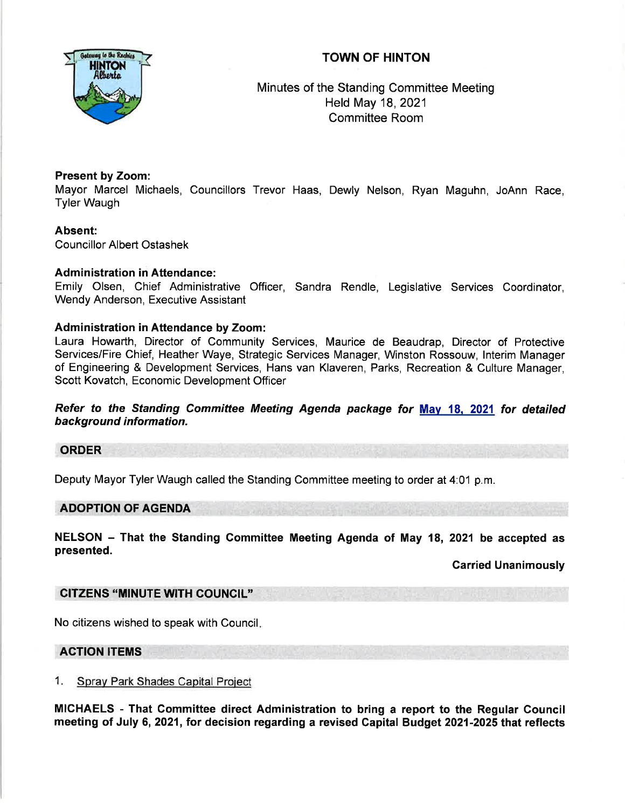# TOWN OF HINTON



Minutes of the Standing Committee Meeting Held May 18,2021 Committee Room

# Present by Zoom:

Mayor Marcel Michaels, Councillors Trevor Haas, Dewly Nelson, Ryan Maguhn, JoAnn Race, Tyler Waugh

# Absent:

Councillor Albert Ostashek

## Administration in Attendance:

Emily Olsen, Chief Administrative Officer, Sandra Rendle, Legislative Services Coordinator, Wendy Anderson, Executive Assistant

## Administration in Attendance by Zoom:

Laura Howarth, Director of Community Services, Maurice de Beaudrap, Director of Protective Services/Fire Chief, Heather Waye, Strategic Services Manager, Winston Rossouw, lnterim Manager of Engineering & Development Services, Hans van Klaveren, Parks, Recreation & Culture Manager, Scott Kovatch, Economic Development Officer

Refer to the Standing Committee Meeting Agenda package for May 18, 2021 for detailed background information.

#### ORDER

Deputy Mayor Tyler Waugh called the Standing Committee meeting to order at 4:01 p.m.

## ADOPTION OF AGENDA

NELSON - That the Standing Committee Meeting Agenda of May 18, 2021 be accepted as presented.

#### Garried Unanimously

# GITZENS "MINUTE WITH COUNCIL''

No citizens wished to speak with Council

#### ACTION ITEMS

#### 1. Sprav Park Shades Capital Proiect

MICHAELS - That Committee direct Administration to bring a report to the Regular Gouncil meeting of July 6,2021, for decision regarding a revised Capital Budget 2021-2025 that reflects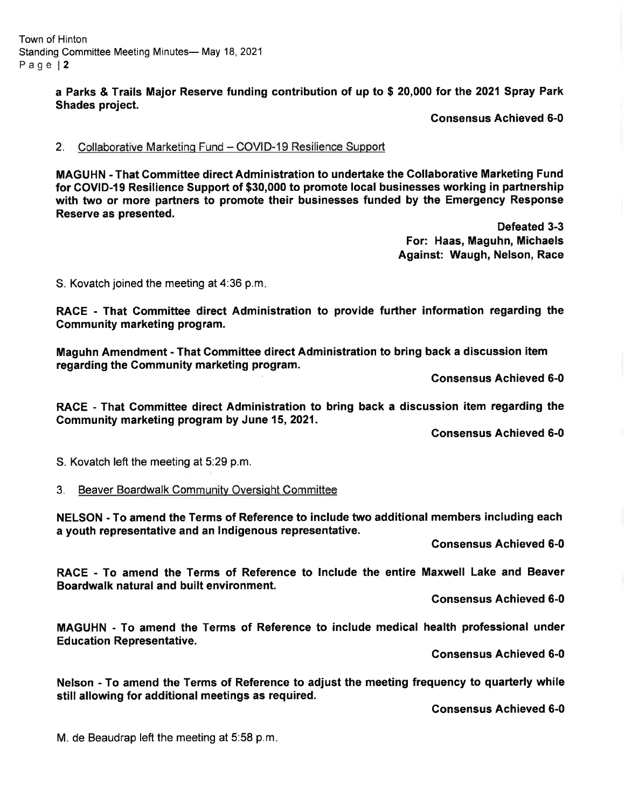Town of Hinton Standing Committee Meeting Minutes- May 18, 2021 Page l2

> a Parks & Trails Major Reserve funding contribution of up to \$ 20,000 for the 2021 Spray Park Shades project.

> > Gonsensus Achieved 6-0

#### 2. Collaborative Marketing Fund - COVID-19 Resilience Support

MAGUHN - That Committee direct Administration to undertake the Collaborative Marketing Fund for COVID-I9 Resilience Support of \$30,000 to promote local businesses working in partnership with two or more partners to promote their businesses funded by the Emergency Response Reserve as presented.

> Defeated 3-3 For: Haas, Maguhn, Michaels Against: Waugh, Nelson, Race

S. Kovatch joined the meeting at 4:36 p.m

RACE - That Committee direct Administration to provide further information regarding the Community marketing program.

Maguhn Amendment - That Committee direct Administration to bring back a discussion item regarding the Gommunity marketing program.

Gonsensus Achieved 6-0

RACE - That Commiftee direct Administration to bring back a discussion item regarding the Gommunity marketing program by June 15,2021.

Gonsensus Achieved 6-0

S. Kovatch left the meeting at 5:29 p.m.

3. Beaver Boardwalk Community Oversight Committee

NELSON - To amend the Terms of Reference to include two additional members including each a youth representative and an Indigenous representative.

Gonsensus Achieved 6-0

RACE - To amend the Terms of Reference to Include the entire Maxwell Lake and Beaver Boardwalk natural and built environment.

Gonsensus Achieved 6-0

MAGUHN - To amend the Terms of Reference to include medical health professional under **Education Representative.** 

Consensus Achieved 6-0

Nelson - To amend the Terms of Reference to adjust the meeting frequency to quarterly while still allowing for additional meetings as required.

Gonsensus Achieved 6-0

M. de Beaudrap left the meeting at 5:58 p.m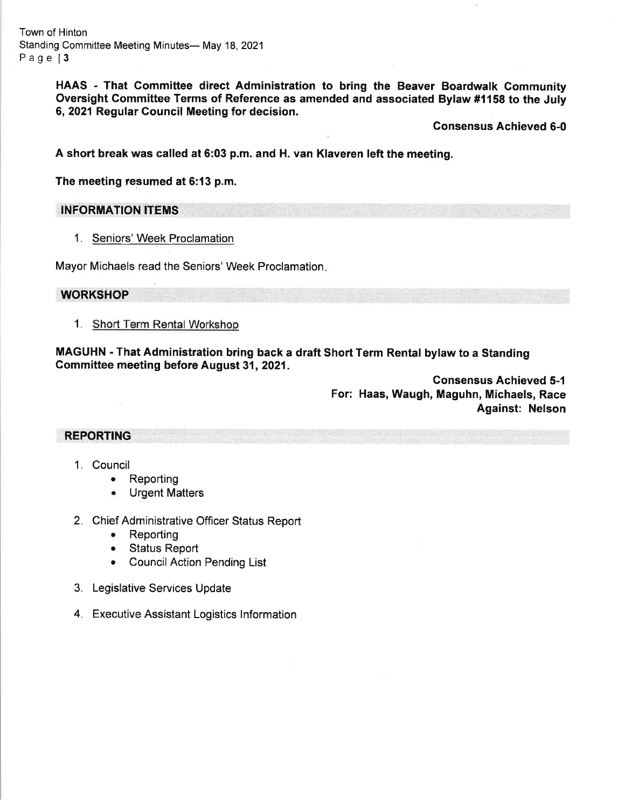Town of Hinton Standing Committee Meeting Minutes- May 18, 2021 Page 13

> HAAS - That Gommittee direct Administration to bring the Beaver Boardwalk Community Oversight Committee Terms of Reference as amended and associated Bylaw #1158 to the July 6,2021 Regular Gouncil Meeting for decision.

> > Gonsensus Achieved 6-0

A short break was called at 6:03 p.m. and H. van Klaveren left the meeting.

The meeting resumed at 6:13 p.m.

INFORMATION ITEMS

1. Seniors' Week Proclamation

Mayor Michaels read the Seniors' Week Proclamation

## **WORKSHOP**

1. Short Term Rental Workshop

MAGUHN - That Administration bring back a draft Short Term Rental bylaw to a Standing Gommittee meeting before August 31,2021.

> Gonsensus Achieved 5-1 For: Haas, Waugh, Maguhn, Michaels, Race Against: Nelson

REPORTING

- 1, Council
	- Reporting
	- Urgent Matters a
- 2. Chief Administrative Officer Status Report
	- . Reporting
	- Status Report
	- . CouncilAction Pending List
- 3. Legislative Services Update
- 4. Executive Assistant Logistics lnformation